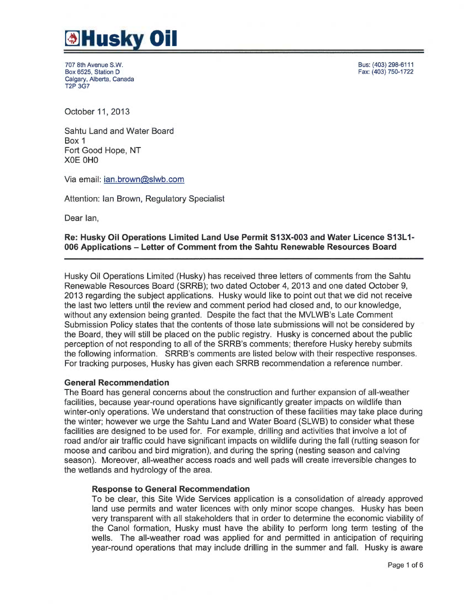

707 8th Avenue S.W. Box 6525, Station D Calgary, Alberta, Canada T2P 3G7

Bus: (403) 298-6111 Fax: (403) 750-1722

October 11, 2013

Sahtu Land and Water Board Box 1 Fort Good Hope, NT XOE OHO

Via email: ian.brown@slwb.com

Attention: Ian Brown, Regulatory Specialist

Dear Ian,

# Re: Husky Oil Operations Limited Land Use Permit S13X-003 and Water Licence S13L1- 006 Applications —Letter of Comment from the Sahtu Renewable Resources Board

Husky Oil Operations Limited (Husky) has received three letters of comments from the Sahtu Renewable Resources Board (SRRB); two dated October 4, 2013 and one dated October 9, 2013 regarding the subject applications. Husky would like to point out that we did not receive the last two letters until the review and comment period had closed and, to our knowledge, without any extension being granted. Despite the fact that the MVLWB's Late Comment Submission Policy states that the contents of those late submissions will not be considered by the Board, they will still be placed on the public registry. Husky is concerned about the public perception of not responding to all of the SRRB's comments; therefore Husky hereby submits the following information. SRRB's comments are listed below with their respective responses. For tracking purposes, Husky has given each SRRB recommendation a reference number.

#### General Recommendation

The Board has general concerns about the construction and further expansion of all-weather facilities, because year-round operations have significantly greater impacts on wildlife than winter-only operations. We understand that construction of these facilities may take place during the winter; however we urge the Sahtu Land and Water Board (SLWB) to consider what these facilities are designed to be used for. For example, drilling and activities that involve a lot of road and/or air traffic could have significant impacts on wildlife during the fall (rutting season for moose and caribou and bird migration), and during the spring (nesting season and calving season). Moreover, all-weather access roads and well pads will create irreversible changes to the wetlands and hydrology of the area.

#### Response to General Recommendation

To be clear, this Site Wide Services application is a consolidation of already approved land use permits and water licences with only minor scope changes. Husky has been very transparent with all stakeholders that in order to determine the economic viability of the Canol formation, Husky must have the ability to perform long term testing of the wells. The all-weather road was applied for and permitted in anticipation of requiring year-round operations that may include drilling in the summer and fall. Husky is aware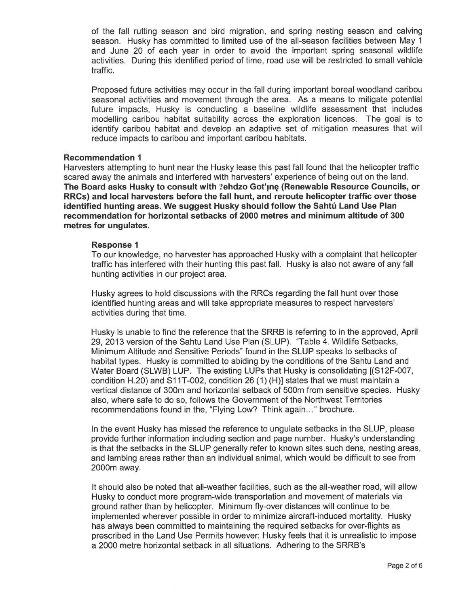of the fall rutting season and bird migration, and spring nesting season and calving season. Husky has committed to limited use of the all-season facilities between May 1 and June 20 of each year in order to avoid the important spring seasonal wildlife activities. During this identified period of time, road use will be restricted to small vehicle traffic.

Proposed future activities may occur in the fall during important boreal woodland caribou seasonal activities and movement through the area. As a means to mitigate potential future impacts, Husky is conducting a baseline wildlife assessment that includes modelling caribou habitat suitability across the exploration licences. The goal is to identify caribou habitat and develop an adaptive set of mitigation measures that will reduce impacts to caribou and important caribou habitats.

### Recommendation 1

Harvesters attempting to hunt near the Husky lease this past fall found that the helicopter traffic scared away the animals and interfered with harvesters' experience of being out on the land. The Board asks Husky to consult with ?ehdzo Got'ıne (Renewable Resource Councils, or RRCs) and local harvesters before the fall hunt, and reroute helicopter traffic over those identified hunting areas. We suggest Husky should follow the Sahtú Land Use Plan recommendation for horizontal setbacks of 2000 metres and minimum altitude of 300 metres for ungulates.

#### Response 1

To our knowledge, no harvester has approached Husky with a complaint that helicopter traffic has interfered with their hunting this past fall. Husky is also not aware of any fall hunting activities in our project area.

Husky agrees to hold discussions with the RRCs regarding the fall hunt over those identified hunting areas and will take appropriate measures to respect harvesters' activities during that time.

Husky is unable to find the reference that the SRRB is referring to in the approved, April 29, 2013 version of the Sahtu Land Use Plan (SLUP). "Table 4. Wildlife Setbacks, Minimum Altitude and Sensitive Periods" found in the SCUP speaks to setbacks of habitat types. Husky is committed to abiding by the conditions of the Sahtu Land and Water Board (SLWB) LUP. The existing LUPs that Husky is consolidating [(S12F-007, condition H.20) and S11T-002, condition 26 (1) (H)] states that we must maintain a vertical distance of 300m and horizontal setback of 500m from sensitive species. Husky also, where safe to do so, follows the Government of the Northwest Territories recommendations found in the, "Flying Low? Think again..." brochure.

In the event Husky has missed the reference to ungulate setbacks in the SLUP, please provide further information including section and page number. Husky's understanding is that the setbacks in the SLUP generally refer to known sites such dens, nesting areas, and lambing areas rather than an individual animal, which would be difficult to see from 2000m away.

It should also be noted that all-weather facilities, such as the all-weather road, will allow Husky to conduct more program-wide transportation and movement of materials via ground rather than by helicopter. Minimum fly-over distances will continue to be implemented wherever possible in order to minimize aircraft-induced mortality. Husky has always been committed to maintaining the required setbacks for over-flights as prescribed in the Land Use Permits however; Husky feels that it is unrealistic to impose a 2000 metre horizontal setback in all situations. Adhering to the SRRB's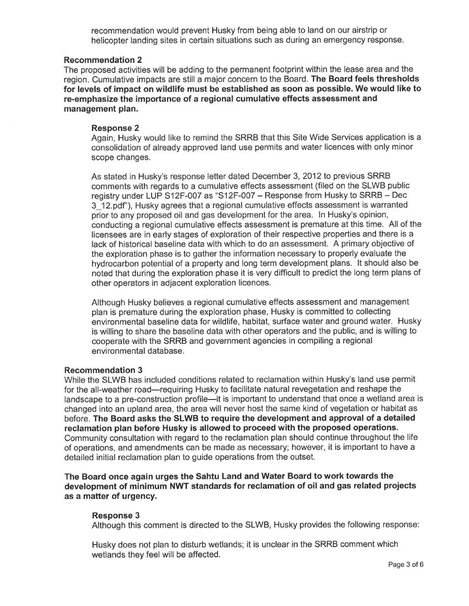recommendation would prevent Husky from being able to land on our airstrip or helicopter landing sites in certain situations such as during an emergency response.

# Recommendation 2

The proposed activities will be adding to the permanent footprint within the lease area and the region. Cumulative impacts are still a major concern to the Board. The Board feels thresholds for levels of impact on wildlife must be established as soon as possible. We would like to re-emphasize the importance of a regional cumulative effects assessment and management plan.

# Response 2

Again, Husky would like to remind the SRRB that this Site Wide Services application is <sup>a</sup> consolidation of already approved land use permits and water licences with only minor scope changes.

As stated in Husky's response letter dated December 3, 2012 to previous SRRB comments with regards to a cumulative effects assessment (filed on the SLWB public registry under LUP S12F-007 as "S12F-007 – Response from Husky to SRRB –Dec 3 12.pdf°), Husky agrees that a regional cumulative effects assessment is warranted prior to any proposed oil and gas development for the area. In Husky's opinion, conducting a regional cumulative effects assessment is premature at this time. All of the licensees are in early stages of exploration of their respective properties and there is <sup>a</sup> lack of historical baseline data with which to do an assessment. <sup>A</sup>primary objective of the exploration phase is to gather the information necessary to properly evaluate the hydrocarbon potential of a property and long term development plans. It should also be noted that during the exploration phase it is very difficult to predict the long term plans of other operators in adjacent exploration licences.

Although Husky believes a regional cumulative effects assessment and management plan is premature during the exploration phase, Husky is committed to collecting environmental baseline data for wildlife, habitat, surface water and ground water. Husky is willing to share the baseline data with other operators and the public, and is willing to cooperate with the SRRB and government agencies in compiling a regional environmental database.

### Recommendation 3

While the SLWB has included conditions related to reclamation within Husky's land use permit for the all-weather road—requiring Husky to facilitate natural revegetation and reshape the landscape to a pre-construction profile—it is important to understand that once a wetland area is changed into an upland area, the area will never host the same kind of vegetation or habitat as before. The Board asks the SLWB to require the development and approval of a detailed reclamation plan before Husky is allowed to proceed with the proposed operations. Community consultation with regard to the reclamation plan should continue throughout the life of operations, and amendments can be made as necessary; however, it is important to have <sup>a</sup> detailed initial reclamation plan to guide operations from the outset.

The Board once again urges the Sahtu Land and Water Board to work towards the development of minimum NWT standards for reclamation of oil and gas related projects as a matter of urgency.

# Response 3

Although this comment is directed to the SLWB, Husky provides the following response:

Husky does not plan to disturb wetlands; it is unclear in the SRRB comment which wetlands they feel will be affected.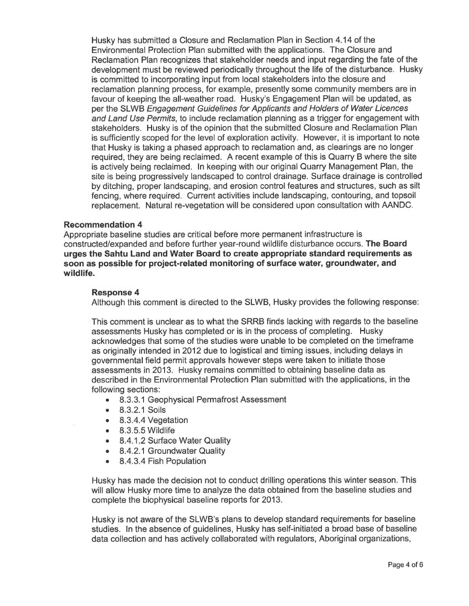Husky has submitted a Closure and Reclamation Plan in Section 4.14 of the Environmental Protection Plan submitted with the applications. The Closure and Reclamation Plan recognizes that stakeholder needs and input regarding the fate of the development must be reviewed periodically throughout the life of the disturbance. Husky is committed to incorporating input from local stakeholders into the closure and reclamation planning process, for example, presently some community members are in favour of keeping the all-weather road. Husky's Engagement Plan will be updated, as per the SLWB Engagement Guidelines for Applicants and Holders of Water Licences and Land Use Permits, to include reclamation planning as a trigger for engagement with stakeholders. Husky is of the opinion that the submitted Closure and Reclamation Plan is sufficiently scoped for the level of exploration activity. However, it is important to note that Husky is taking a phased approach to reclamation and, as clearings are no longer required, they are being reclaimed. A recent example of this is Quarry B where the site is actively being reclaimed. In keeping with our original Quarry Management Plan, the site is being progressively landscaped to control drainage. Surface drainage is controlled by ditching, proper landscaping, and erosion control features and structures, such as silt fencing, where required. Current activities include landscaping, contouring, and topsoil replacement. Natural re-vegetation will be considered upon consultation with AANDC.

### Recommendation 4

Appropriate baseline studies are critical before more permanent infrastructure is constructed/expanded and before further year-round wildlife disturbance occurs. The Board urges the Sahtu Land and Water Board to create appropriate standard requirements as soon as possible for project-related monitoring of surface water, groundwater, and wildlife.

#### Response 4

Although this comment is directed to the SLWB, Husky provides the following response:

This comment is unclear as to what the SRRB finds lacking with regards to the baseline assessments Husky has completed or is in the process of completing. Husky acknowledges that some of the studies were unable to be completed on the timeframe as originally intended in 2012 due to logistical and timing issues, including delays in governmental field permit approvals however steps were taken to initiate those assessments in 2013. Husky remains committed to obtaining baseline data as described in the Environmental Protection Plan submitted with the applications, in the following sections:

- 8.3.3.1 Geophysical Permafrost Assessment
- 8.3.2.1 Soils
- 8.3.4.4 Vegetation
- 8.3.5.5 Wildlife
- 8.4.1.2 Surface Water Quality
- 8.4.2.1 Groundwater Quality
- 8.4.3.4 Fish Population

Husky has made the decision not to conduct drilling operations this winter season. This will allow Husky more time to analyze the data obtained from the baseline studies and complete the biophysical baseline reports for 2013.

Husky is not aware of the SLWB's plans to develop standard requirements for baseline studies. In the absence of guidelines, Husky has self-initiated a broad base of baseline data collection and has actively collaborated with regulators, Aboriginal organizations,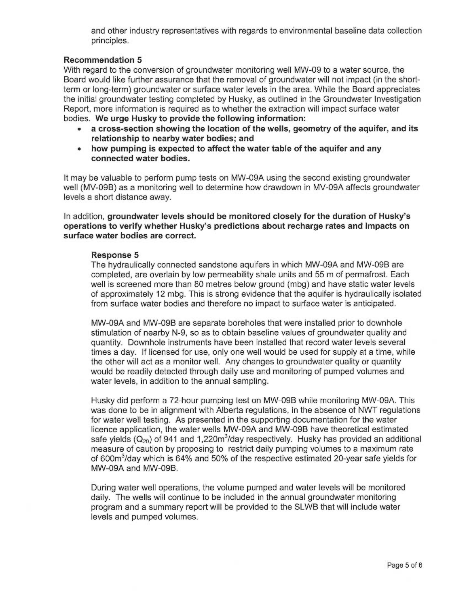and other industry representatives with regards to environmental baseline data collection principles.

# Recommendation 5

With regard to the conversion of groundwater monitoring well MW-09 to a water source, the Board would like further assurance that the removal of groundwater will not impact (in the shortterm or long-term) groundwater or surface water levels in the area. While the Board appreciates the initial groundwater testing completed by Husky, as outlined in the Groundwater Investigation Report, more information is required as to whether the extraction will impact surface water bodies. We urge Husky to provide the following information:

- across-section showing the location of the wells, geometry of the aquifer, and its relationship to nearby water bodies; and
- how pumping is expected to affect the water table of the aquifer and any connected water bodies.

It may be valuable to perform pump tests on MW-09A using the second existing groundwater well (MV-09B) as a monitoring well to determine how drawdown in MV-09A affects groundwater levels a short distance away.

In addition, groundwater levels should be monitored closely for the duration of Husky's operations to verify whether Husky's predictions about recharge rates and impacts on surface water bodies are correct.

### Response 5

The hydraulically connected sandstone aquifers in which MW-09A and MW-09B are completed, are overlain by low permeability shale units and 55 m of permafrost. Each well is screened more than 80 metres below ground (mbg) and have static water levels of approximately 12 mbg. This is strong evidence that the aquifer is hydraulically isolated from surface water bodies and therefore no impact to surface water is anticipated.

MW-09A and MW-09B are separate boreholes that were installed prior to downhole stimulation of nearby N-9, so as to obtain baseline values of groundwater quality and quantity. Downhole instruments have been installed that record water levels several times a day. If licensed for use, only one well would be used for supply at a time, while the other will act as a monitor well. Any changes to groundwater quality or quantity would be readily detected through daily use and monitoring of pumped volumes and water levels, in addition to the annual sampling.

Husky did perform a 72-hour pumping test on MW-09B while monitoring MW-09A. This was done to be in alignment with Alberta regulations, in the absence of NWT regulations for water well testing. As presented in the supporting documentation for the water licence application, the water wells MW-09A and MW-09B have theoretical estimated safe yields  $(Q_{20})$  of 941 and 1,220m<sup>3</sup>/day respectively. Husky has provided an additional measure of caution by proposing to restrict daily pumping volumes to a maximum rate of 600m3/day which is 64% and 50% of the respective estimated 20-year safe yields for MW-09A and MW-09B.

During water well operations, the volume pumped and water levels will be monitored daily. The wells will continue to be included in the annual groundwater monitoring program and a summary report will be provided to the SLWB that will include water levels and pumped volumes.